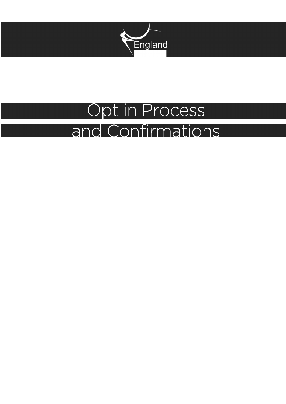

### Opt in Process and Confirmations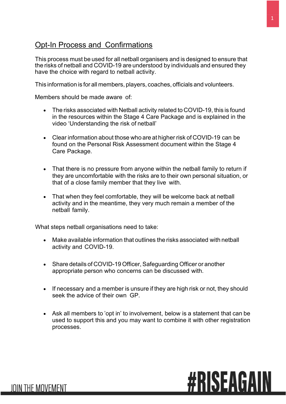### Opt-In Process and Confirmations

This process must be used for all netball organisers and is designed to ensure that the risks of netball and COVID-19 are understood by individuals and ensured they have the choice with regard to netball activity.

This information is for all members, players, coaches, officials and volunteers.

Members should be made aware of:

- The risks associated with Netball activity related to COVID-19, this is found in the resources within the Stage 4 Care Package and is explained in the video 'Understanding the risk of netball'
- Clear information about those who are at higher risk of COVID-19 can be found on the Personal Risk Assessment document within the Stage 4 Care Package.
- That there is no pressure from anyone within the netball family to return if they are uncomfortable with the risks are to their own personal situation, or that of a close family member that they live with.
- That when they feel comfortable, they will be welcome back at netball activity and in the meantime, they very much remain a member of the netball family.

What steps netball organisations need to take:

**JOIN THE MOVEMENT** 

- Make available information that outlines the risks associated with netball activity and COVID-19.
- Share details of COVID-19 Officer, Safeguarding Officer or another appropriate person who concerns can be discussed with.
- If necessary and a member is unsure if they are high risk or not, they should seek the advice of their own GP.
- Ask all members to 'opt in' to involvement, below is a statement that can be used to support this and you may want to combine it with other registration processes.

# **#RISEAGAIN**